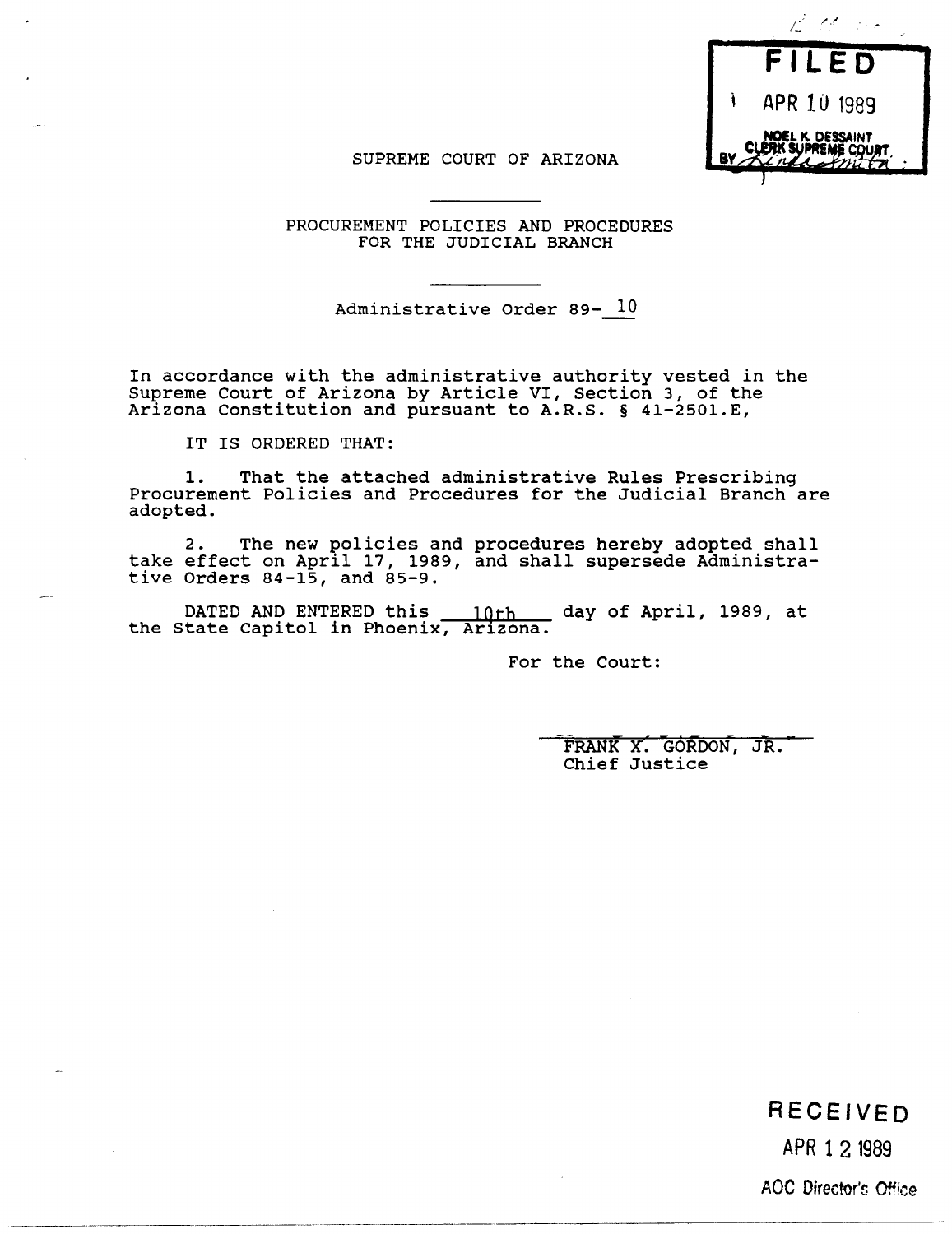

## SUPREME COURT OF ARIZONA

PROCUREMENT POLICIES AND PROCEDURES FOR THE JUDICIAL BRANCH

Administrative Order 89- 10

In accordance with the administrative authority vested in the Supreme Court of Arizona by Article VI, Section 3, of the Arizona Constitution and pursuant to A.R.S. § 41-2501.E,

IT IS ORDERED THAT:

1. That the attached administrative Rules Prescribing Procurement Policies and Procedures for the Judicial Branch are adopted.

2. The new policies and procedures hereby adopted shall take effect on April 17, 1989, and shall supersede Administrative Orders  $84-15$ , and  $85-9$ .

DATED AND ENTERED this  $10th$  day of April, 1989, at the State Capitol in Phoenix, Arizona.

For the Court:

FRANK X. GORDON, JR. Chief Justice

**RECEIVED** 

APR 1 2 1989

Aoe Director's Office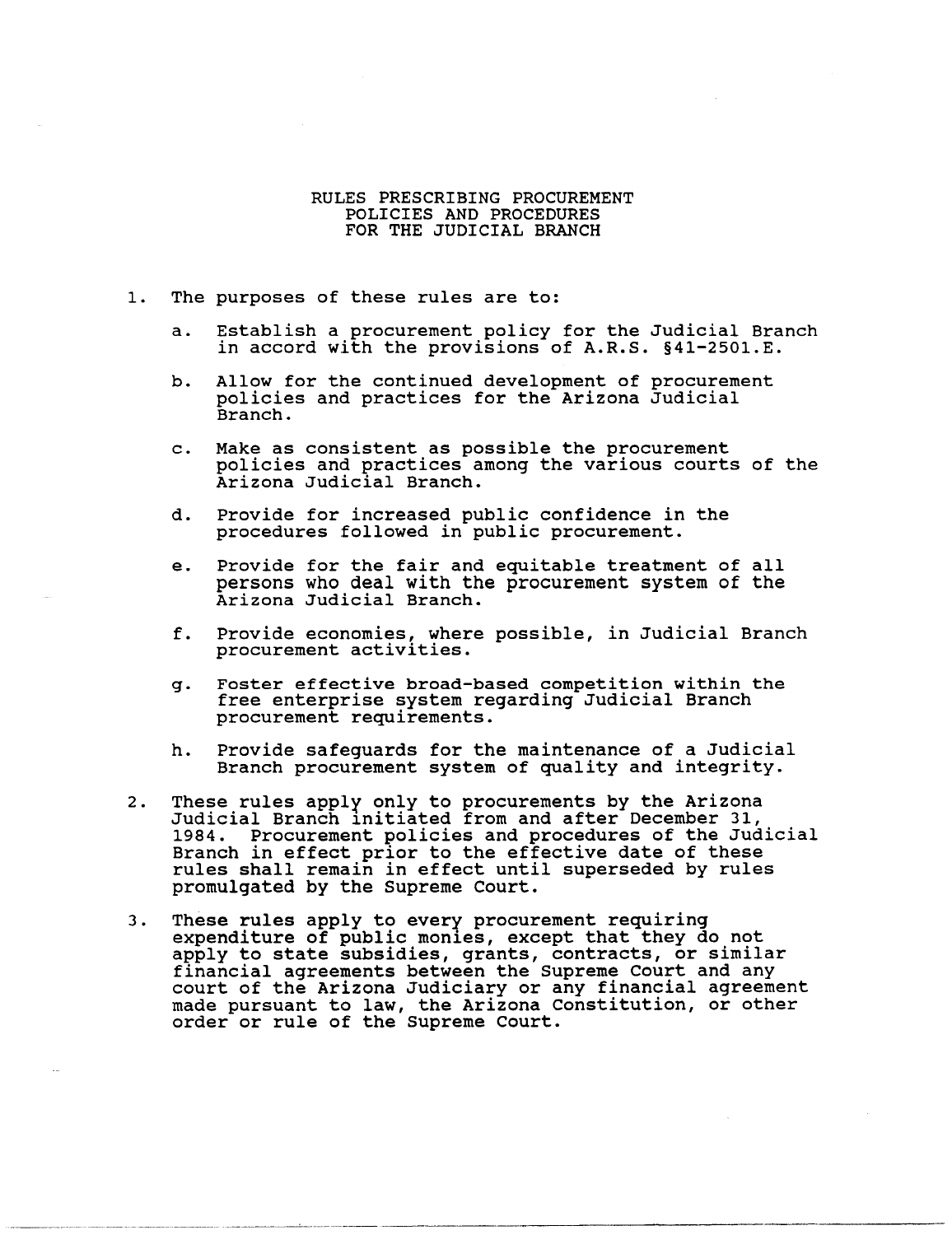## RULES PRESCRIBING PROCUREMENT POLICIES AND PROCEDURES FOR THE JUDICIAL BRANCH

- 1. The purposes of these rules are to:
	- a. Establish a procurement policy for the Judicial Branch in accord with the provisions of A.R.S. §4l-250l.E.
	- b. Allow for the continued development of procurement policies and practices for the Arizona Judicial Branch.
	- c. Make as consistent as possible the procurement policies and practices among the various courts of the Arizona Judicial Branch.
	- d. Provide for increased public confidence in the procedures followed in public procurement.
	- e. Provide for the fair and equitable treatment of all persons who deal with the procurement system of the Arizona Judicial Branch.
	- f. Provide economies, where possible, in Judicial Branch procurement activities.
	- g. Foster effective broad-based competition within the free enterprise system regarding Judicial Branch procurement requirements.
	- h. Provide safeguards for the maintenance of a Judicial Branch procurement system of quality and integrity.
- 2. These rules apply only to procurements by the Arizona Judicial Branch 1nitiated from and after December 31, 1984. Procurement policies and procedures of the Judicial Branch in effect prior to the effective date of these rules shall remain in effect until superseded by rules promulgated by the Supreme Court.
- 3. These rules apply to every procurement requiring expenditure of public monies, except that they do not expenditure of public montes, except that they do not<br>apply to state subsidies, grants, contracts, or similar financial agreements between the Supreme Court and any court of the Arizona Judiciary or any financial agreement made pursuant to law, the Arizona Constitution, or other order or rule of the Supreme Court.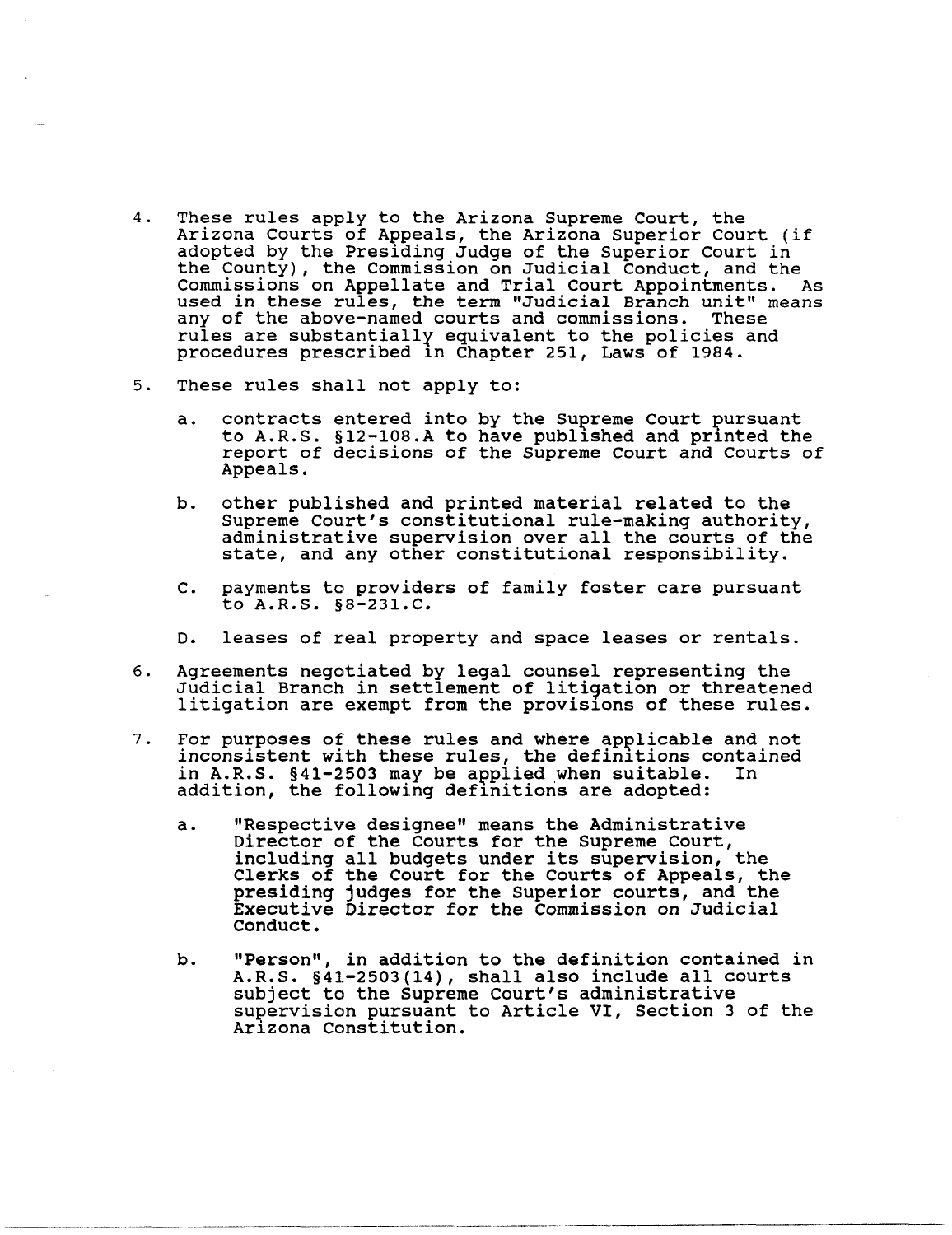- 4. These rules apply to the Arizona Supreme Court, the Arizona Courts of Appeals, the Arizona Superior Court (if adopted by the Presiding Judge of the Superior Court in the County), the Commission on Judicial Conduct, and the Commissions on Appellate and Trial Court Appointments. As used in these rules, the term "Judicial Branch unit" means<br>any of the above-named courts and commissions. These any of the above-named courts and commissions. rules are substantially equivalent to the policies and procedures prescribed 1n Chapter 251, Laws of 1984.
- 5. These rules shall not apply to:
	- a. contracts entered into by the Supreme Court pursuant to A.R.S. §12-108.A to have published and printed the report of decisions of the Supreme Court and Courts of Appeals.
	- b. other published and printed material related to the<br>Supreme Court's constitutional rule-making authority, administrative supervision over all the courts of the state, and any other constitutional responsibility.
	- C. payments to providers of family foster care pursuant to A.R.S. §8-231.C.
	- D. leases of real property and space leases or rentals.
- 6. Agreements negotiated by legal counsel representing the Judicial Branch in settlement of litigation or threatened litigation are exempt from the provisions of these rules.
- 7. For purposes of these rules and where applicable and not inconsistent with these rules, the definitions contained<br>in A.R.S. §41-2503 may be applied when suitable. In in A.R.S.  $§41-2503$  may be applied when suitable. addition, the following definitions are adopted:
	- a. "Respective designee" means the Administrative Director of the Courts for the Supreme Court, including all budgets under its supervision, the Clerks of the Court for the Courts of Appeals, the presiding judges for the Superior courts, and the Executive Director for the Commission on Judicial Conduct.
	- b. "Person", in addition to the definition contained in A.R.S. §41-2503(14) , shall also include all courts subject to the Supreme Court's administrative supervision pursuant to Article VI, Section 3 of the Ar1zona Constitution.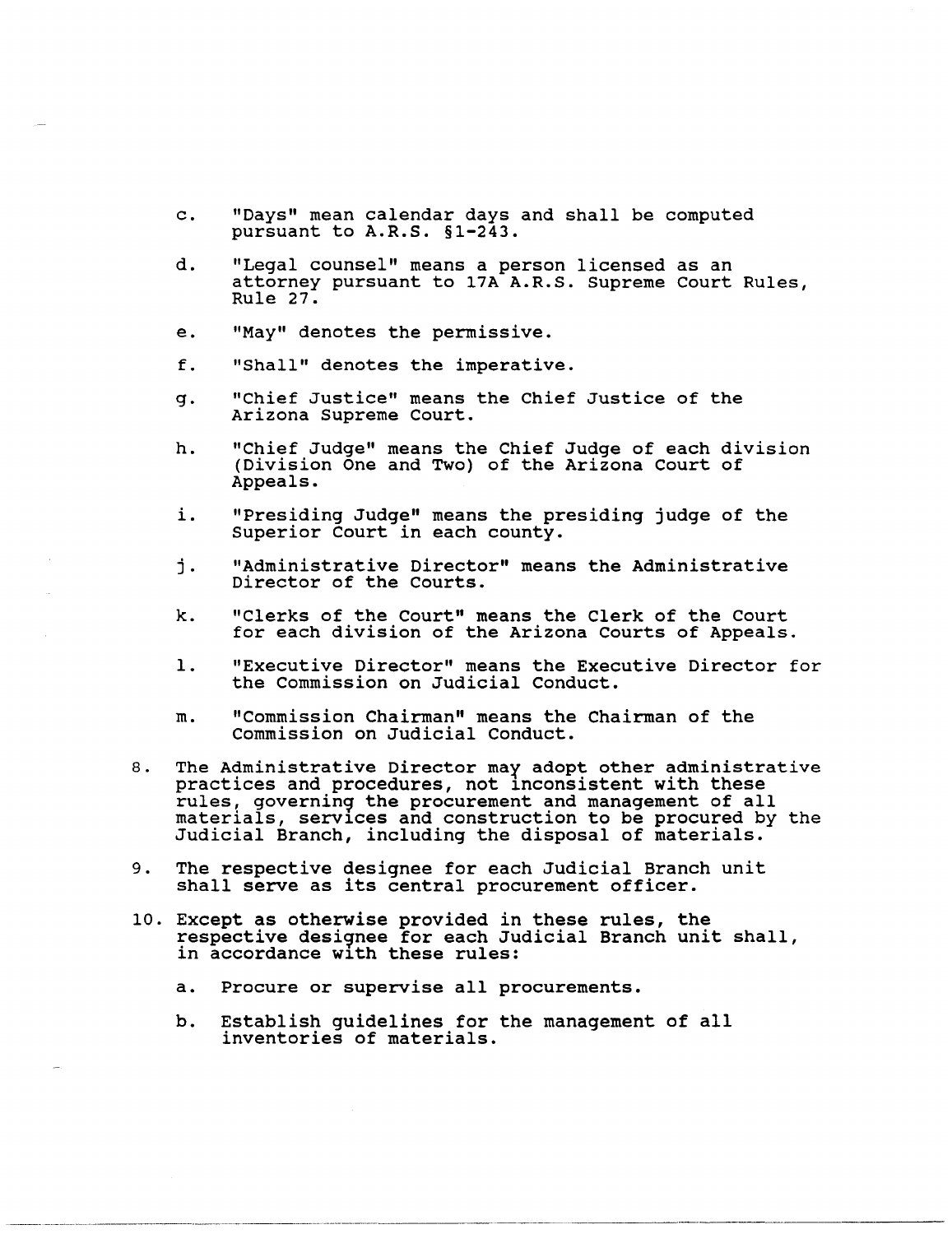- c. "Days" mean calendar days and shall be computed pursuant to A.R.S. §1-243.
- d. "Legal counsel" means a person licensed as an attorney pursuant to 17A A.R.S. Supreme Court Rules, Rule 27.
- e. "May" denotes the permissive.
- f. "Shall" denotes the imperative.
- g. "Chief Justice" means the Chief Justice of the Arizona Supreme Court.
- h. "Chief Judge" means the Chief Judge of each division (Division One and Two) of the Arizona Court of Appeals.
- 1. "Presiding Judge" means the presiding judge of the Superior Court in each county.
- j. "Administrative Director" means the Administrative Director of the Courts.
- k. "Clerks of the Court" means the Clerk of the Court for each division of the Arizona Courts of Appeals.
- 1. "Executive Director" means the Executive Director for the Commission on Judicial Conduct.
- m. "Commission Chairman" means the Chairman of the Commission on Judicial Conduct.
- 8. The Administrative Director may adopt other administrative practices and procedures, not inconsistent with these rules, governing the procurement and management of all materials, services and construction to be procured by the Judicial Branch, including the disposal of materials.
- 9. The respective designee for each Judicial Branch unit shall serve as its central procurement officer.
- 10. Except as otherwise provided in these rules, the respective desi9nee for each Judicial Branch unit shall, in accordance with these rules:
	- a. Procure or supervise all procurements.
	- b. Establish guidelines for the management of all inventories of materials.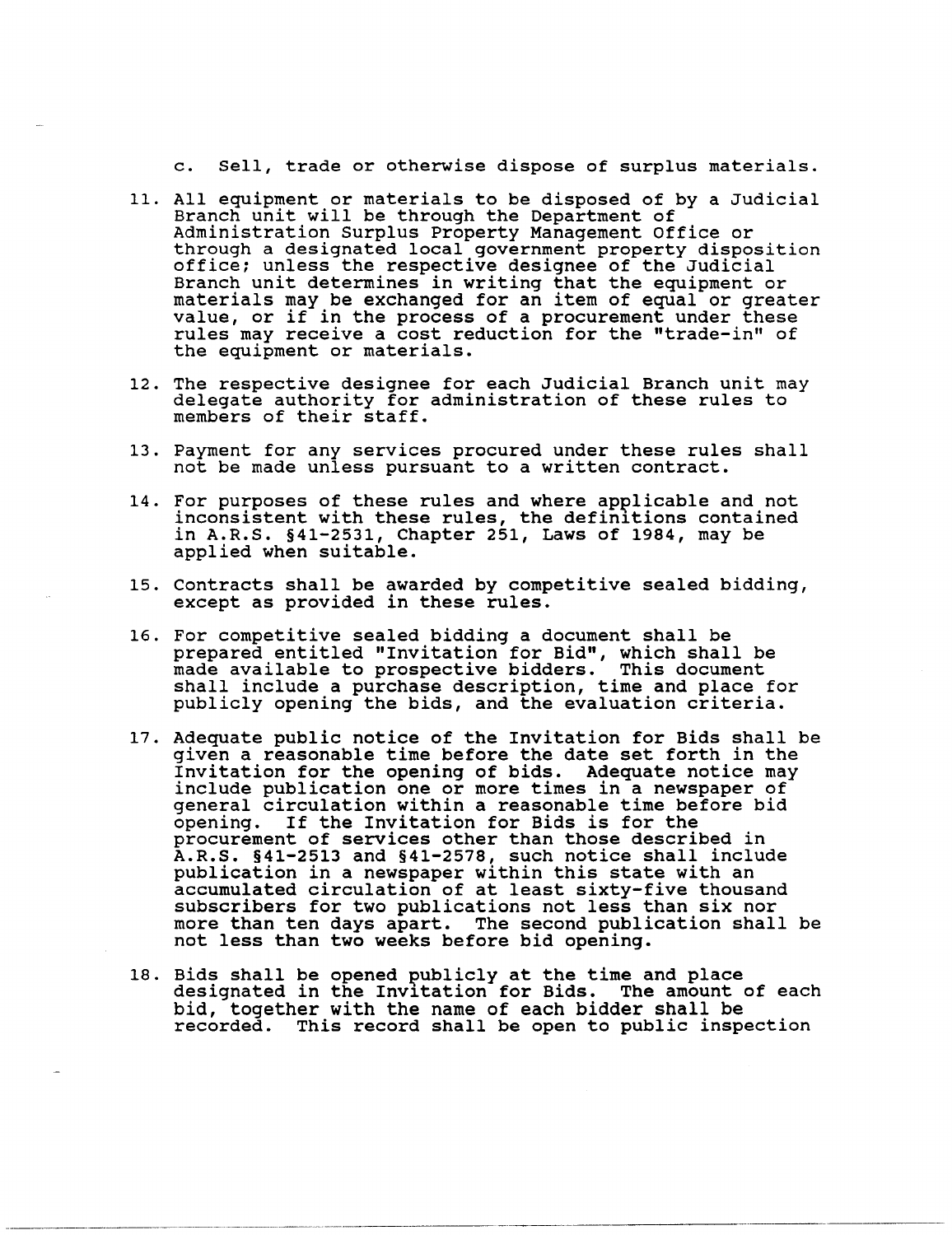c. Sell, trade or otherwise dispose of surplus materials.

- 11. All equipment or materials to be disposed of by a Judicial Branch unit will be through the Department of Administration Surplus Property Management Office or through a designated local government property disposition office; unless the respective designee of the Judicial Branch unit determines in writing that the equipment or materials may be exchanged for an item of equal or greater value, or if in the process of a procurement under these value, or if in the process of a procurement under these rules may receive a cost reduction for the "trade-in" of the equipment or materials.
- 12. The respective designee for each Judicial Branch unit may delegate authority for administration of these rules to members of their staff.
- 13. Payment for any services procured under these rules shall not be made unless pursuant to a written contract.
- 14. For purposes of these rules and where applicable and not inconsistent with these rules, the definitions contained in A.R.S. §41-2531, Chapter 251, Laws of 1984, may be applied when suitable.
- 15. Contracts shall be awarded by competitive sealed bidding, except as provided in these rules.
- 16. For competitive sealed bidding a document shall be prepared entitled "Invitation for Bid", which shall be made available to prospective bidders. This document shall include a purchase description, time and place for publicly opening the bids, and the evaluation criteria.
- 17. Adequate public notice of the Invitation for Bids shall be given a reasonable time before the date set forth in the Invitation for the opening of bids. Adequate notice may include publication one or more times in a newspaper of general circulation within a reasonable time before bid opening. If the Invitation for Bids is for the procurement of services other than those described in A.R.S. §41-2513 and §41-2578, such notice shall include publication in a newspaper within this state with an accumulated circulation of at least sixty-five thousand subscribers for two publications not less than six nor more than ten days apart. The second publication shall be not less than two weeks before bid opening.
- 18. Bids shall be opened publicly at the time and place<br>designated in the Invitation for Bids. The amount of each bid, together with the name of each bidder shall be recorded. This record shall be open to public inspection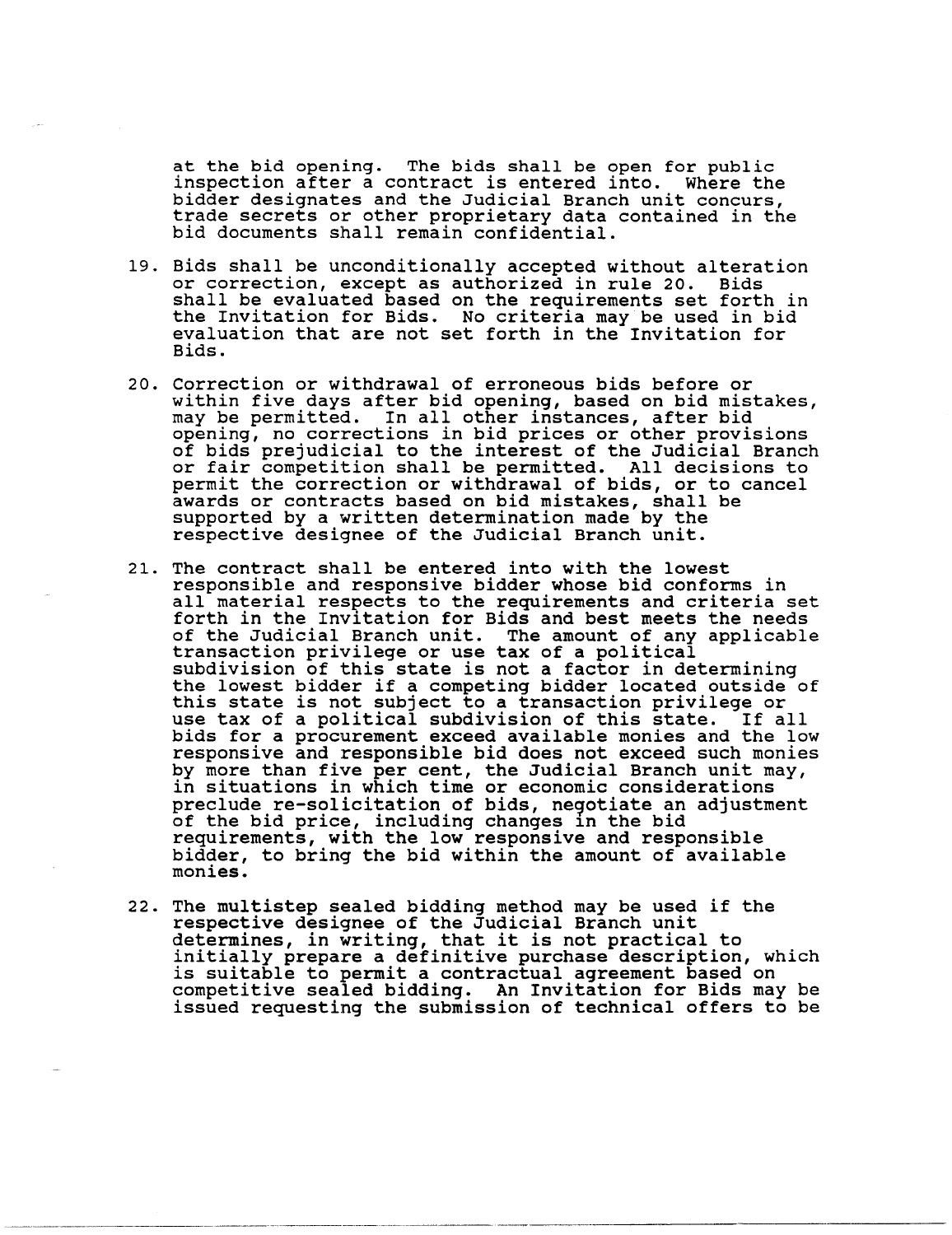at the bid opening. The bids shall be open for public inspection after a contract is entered into. Where the trade secrets or other proprietary data contained in the bid documents shall remain confidential.

- 19. Bids shall be unconditionally accepted without alteration or correction, except as authorized in rule 20. Bids shall be evaluated based on the requirements set forth in the Invitation for Bids. No criteria may be used in bid evaluation that are not set forth in the Invitation for Bids.
- 20. Correction or withdrawal of erroneous bids before or within five days after bid opening, based on bid mistakes, may be permitted. In all other instances, after bid opening, no corrections in bid prices or other provisions of bids prejudicial to the interest of the Judicial Branch or fair competition shall be permitted. All decisions to permit the correction or withdrawal of bids, or to cancel awards or contracts based on bid mistakes, shall be supported by a written determination made by the respective designee of the Judicial Branch unit.
- 21. The contract shall be entered into with the lowest responsible and responsive bidder whose bid conforms in all material respects to the requirements and criteria set forth in the Invitation for Bids and best meets the needs of the Judicial Branch unit. The amount of any applicable transaction privilege or use tax of a political subdivision of this state is not a factor in determining the lowest bidder if a competing bidder located outside of this state is not subject to a transaction privilege or use tax of a political subdivision of this state. If all bids for a procurement exceed available monies and the low responsive and responsible bid does not exceed such monies by more than five per cent, the Judicial Branch unit may, in situations in which time or economic considerations preclude re-solicitation of bids, negotiate an adjustment<br>of the bid price, including changes in the bid<br>requirements, with the low responsive and responsible bidder, to bring the bid within the amount of available monies.
- 22. The multistep sealed bidding method may be used if the respective designee of the Judicial Branch unit determines, in writing, that it is not practical to initially prepare a definitive purchase description, which is suitable to permit a contractual agreement based on competitive sealed bidding. An Invitation for Bids may be issued requesting the submission of technical offers to be

----------------- ----------------------.----- -------------\_.\_-----------------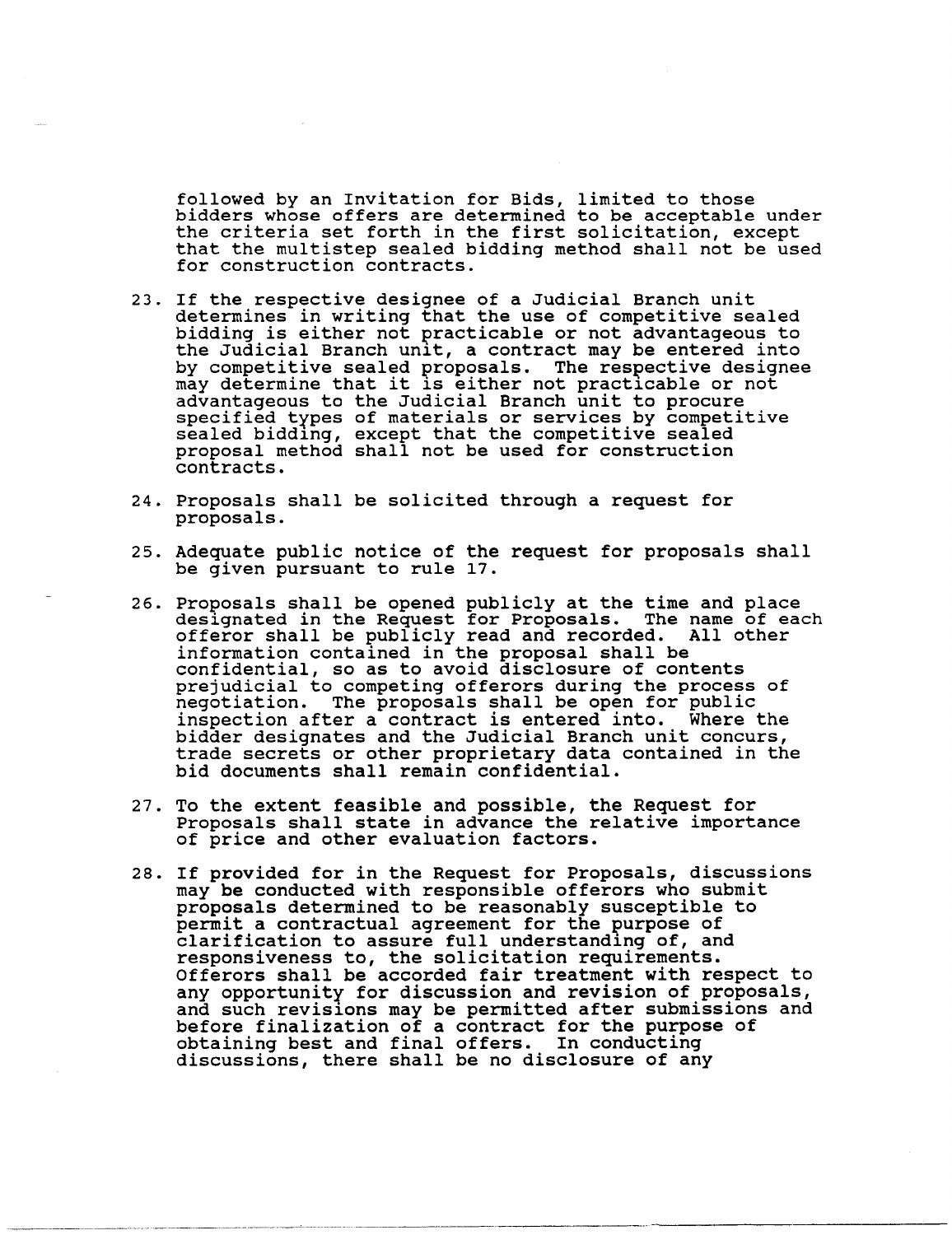followed by an Invitation for Bids, limited to those bidders whose offers are determined to be acceptable under the criteria set forth in the first solicitation, except that the multistep sealed bidding method shall not be used for construction contracts.

- 23. If the respective designee of a Judicial Branch unit determines in writing that the use of competitive sealed bidding is either not practicable or not advantageous to the Judicial Branch unit, a contract may be entered into by competitive sealed proposals. The respective designee may determine that it is either not practicable or not<br>advantageous to the Judicial Branch unit to procure advantageous to the Judicial Branch unit to procure<br>specified types of materials or services by competitive<br>sealed bidding, except that the competitive sealed proposal method shall not be used for construction contracts.
- 24. Proposals shall be solicited through a request for proposals.
- 25. Adequate public notice of the request for proposals shall be given pursuant to rule 17.
- 26. Proposals shall be opened publicly at the time and place designated in the Request for Proposals. The name of each offeror shall be publicly read and recorded. All other information contained in the proposal shall be confidential, so as to avoid disclosure of contents prejudicial to competing offerors during the process of prejudicial co compecing offerors during the process of negotiation. The proposals shall be open for public inspection after a contract is entered into. Where the inspection after a contract is entered into. Where the<br>bidder designates and the Judicial Branch unit concurs, trade secrets or other proprietary data contained in the bid documents shall remain confidential.
- 27. To the extent feasible and possible, the Request for Proposals shall state in advance the relative importance of price and other evaluation factors.
- 28. If provided for in the Request for Proposals, discussions may be conducted with responsible offerors who submit proposals determined to be reasonably susceptible to permit a contractual agreement for the purpose of clarification to assure full understanding of, and responsiveness to, the solicitation requirements.<br>Offerors shall be accorded fair treatment with respect to<br>any opportunity for discussion and revision of proposals, any opportunity for discussion and revision of proposals, and such revisions may be permitted after submissions and before finalization of a contract for the purpose of obtaining best and final offers. In conducting discussions, there shall be no disclosure of any

-----.--.-.---------.---~----.-------.--- ---------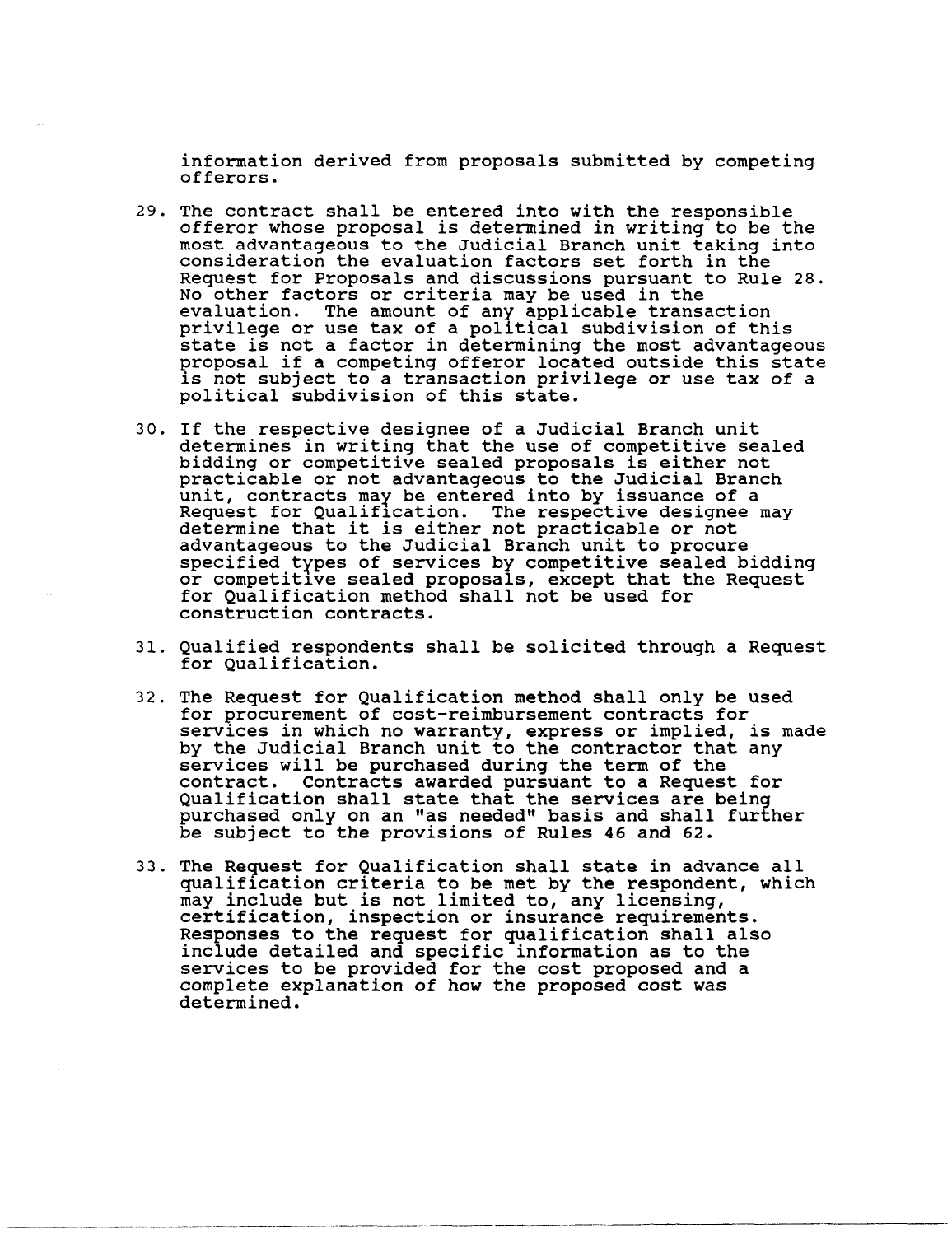information derived from proposals submitted by competing<br>offerors.

- 29. The contract shall be entered into with the responsible offeror whose proposal is determined in writing to be the most advantageous to the Judicial Branch unit taking into consideration the evaluation factors set forth in the Request for Proposals and discussions pursuant to Rule 28. No other factors or criteria may be used in the evaluation. The amount of any applicable transaction privilege or use tax of a political subdivision of this<br>state is not a factor in determining the most advantageous proposal if a competing offeror located outside this state is not subject to a transaction privilege or use tax of a political subdivision of this state.
- 30. If the respective designee of a Judicial Branch unit determines in writing that the use of competitive sealed bidding or competitive sealed proposals is either not practicable or not advantageous to the Judicial Branch unit, contracts may be entered into by issuance of a Request for Qualification. The respective designee may determine that it is either not practicable or not advantageous to the Judicial Branch unit to procure specified types of services by competitive sealed bidding or competitlve sealed proposals, except that the Request for Qualification method shall not be used for construction contracts.
- 31. Qualified respondents shall be solicited through a Request for Qualification.
- 32. The Request for Qualification method shall only be used for procurement of cost-reimbursement contracts for services in which no warranty, express or implied, is made<br>by the Judicial Branch unit to the contractor that any by the Judicial Branch unit to the contractor that any services will be purchased during the term of the contract. contracts awarded pursuant to a Request for Qualification shall state that the services are being purchased only on an "as needed" basis and shall further be subject to the provisions of Rules 46 and 62.
- 33. The Request for Qualification shall state in advance all qualiflcation criteria to be met by the respondent, which may include but is not limited to, any licensing, certification, inspection or insurance requirements. Responses to the request for qualification shall also include detailed and specific information as to the services to be provided for the cost proposed and a complete explanation of how the proposed cost was determined.

------------ -----------------------------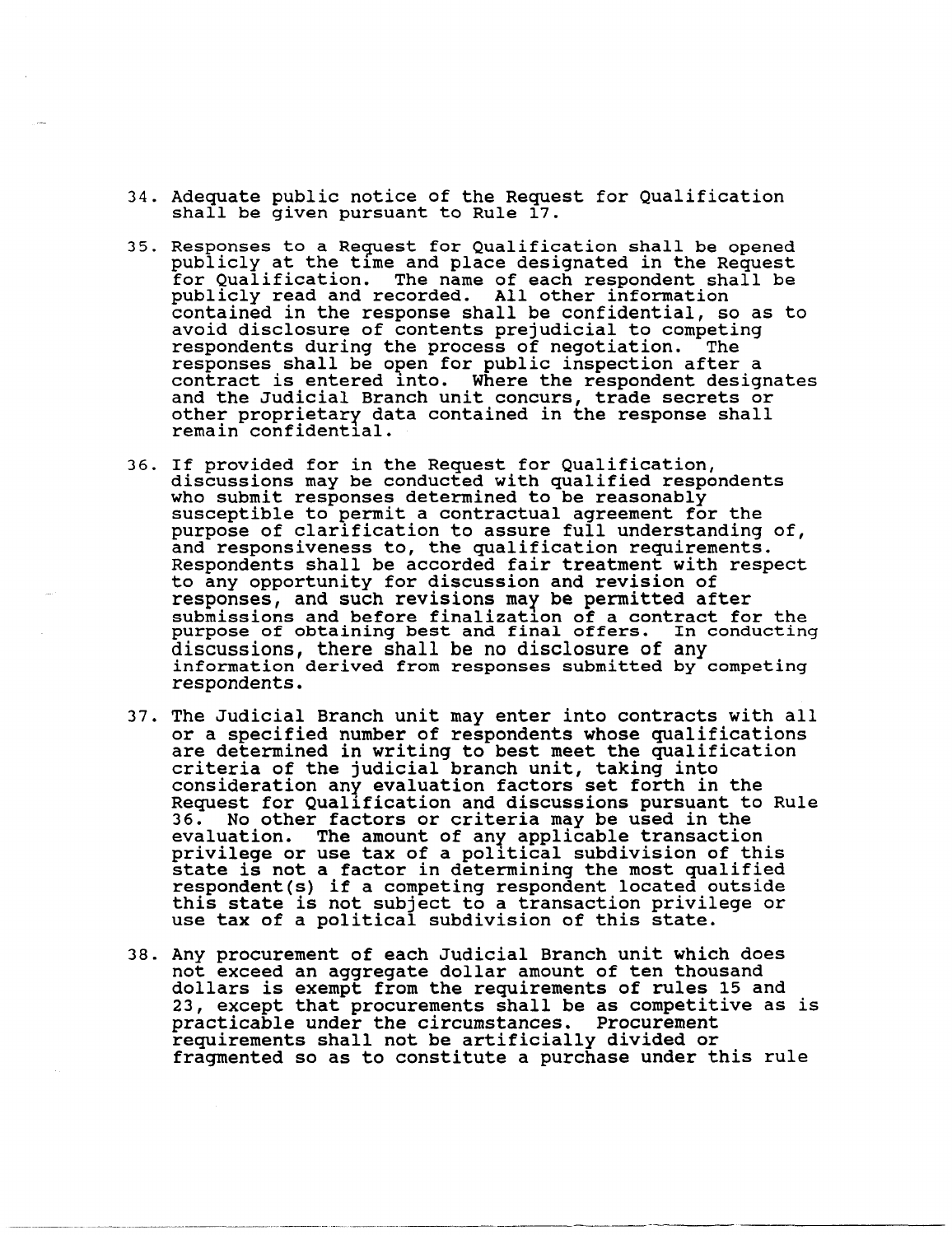- 34. Adequate public notice of the Request for Qualification shall be given pursuant to Rule 17.
- 35. Responses to a Request for Qualification shall be opened publicly at the time and place designated in the Request for Qualification. The name of each respondent shall be publicly read and recorded. All other information contained in the response shall be confidential, so as to avoid disclosure of contents prejudicial to competing respondents during the process of negotiation. The responses shall be open for public inspection after a<br>contract is entered into. Where the respondent designates and the Judicial Branch unit concurs, trade secrets or other proprietary data contained in the response shall remain confidential.
- 36. If provided for in the Request for Qualification, discussions may be conducted with qualified respondents who submit responses determined to be reasonably susceptible to permit a contractual agreement for the purpose of clarification to assure full understanding of,<br>and responsiveness to, the qualification requirements. Respondents shall be accorded fair treatment with respect to any opportunity for discussion and revision of responses, and such revisions may be permitted after submissions and before finalization of a contract for the purpose of obtaining best and final offers. In conducting discussions, there shall be no disclosure of any information derived from responses submitted by competing respondents.
- 37. The Judicial Branch unit may enter into contracts with all or a specified number of respondents whose qualifications are determined in writing to best meet the qualification criteria of the judicial branch unit, taking into consideration any evaluation factors set forth in the Request for Qualification and discussions pursuant to Rule<br>36. No other factors or criteria may be used in the No other factors or criteria may be used in the evaluation. The amount of any applicable transaction privilege or use tax of a political subdivision of this<br>state is not a factor in determining the most qualified respondent(s) if a competing respondent located outside this state is not subject to a transaction privilege or use tax of a political subdivision of this state.
- 38. Any procurement of each JUdicial Branch unit which does not exceed an aggregate dollar amount of ten thousand dollars is exempt from the requirements of rules 15 and 23, except that procurements shall be as competitive as is practicable under the circumstances. Procurement requirements shall not be artificially divided or fragmented so as to constitute a purchase under this rule

----~-.- .. ----------.-------~----.. ------. \_\_ .. -.~-.- .. \_.\_------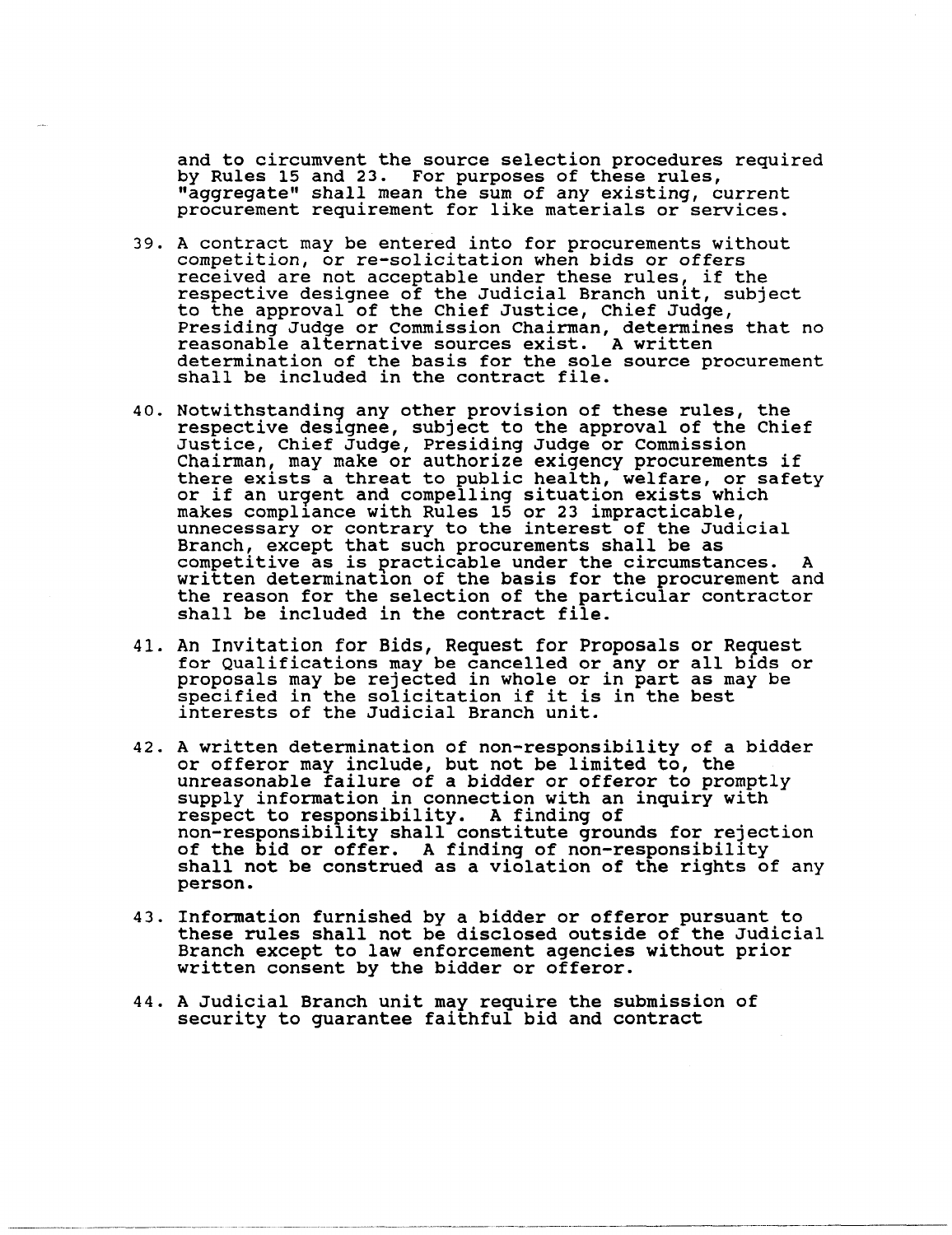and to circumvent the source selection procedures required by Rules 15 and 23. For purposes of these rules, "aggregate" shall mean the sum of any existing, current procurement requirement for like materials or services.

- 39. A contract may be entered into for procurements without competition, or re-solicitation when bids or offers received are not acceptable under these rules, if the respective designee of the Judicial Branch unit, subject<br>to the approval of the Chief Justice, Chief Judge, Presiding Judge or Commission Chairman, determines that no reasonable alternative sources exist. A written determination of the basis for the sole source procurement shall be included in the contract file.
- 40. Notwithstandin9 any other provision of these rules, the respective deslgnee, subject to the approval of the Chief Justice, Chief Judge, Presiding Judge or Commission Chairman, may make or authorize exigency procurements if there exists a threat to public health, welfare, or safety or if an urgent. and compelling situation exists which makes compllance with Rules 15 or 23 impracticable, unnecessary or contrary to the interest of the Judicial Branch, except that such procurements shall be as competitive as is practicable under the circumstances. A written determinatlon of the basis for the procurement and the reason for the selection of the particular contractor shall be included in the contract file.
- 41. An Invitation for Bids, Request for Proposals or Request for Qualifications may be cancelled or any or all bids or proposals may be rejected in whole or in part as may be specified in the solicitation if it is in the best interests of the Judicial Branch unit.
- 42. A written determination of non-responsibility of a bidder or offeror may include, but not be limited to, the unreasonable failure of a bidder or offeror to promptly supply information in connection with an inquiry with supply information in connection with an inquiry with<br>respect to responsibility. A finding of<br>non-responsibility shall constitute grounds for rejection of the bid or offer. A finding of non-responsibility<br>shall not be construed as a violation of the rights of any person.
- 43. Information furnished by a bidder or offeror pursuant to these rules shall not be disclosed outside of the Judicial Branch except to law enforcement agencies without prior written consent by the bidder or offeror.
- 44. A Judicial Branch unit may require the submission of security to guarantee faithful bid and contract

----.-- \_.\_-------\_ ..... \_.--\_ ..... \_\_ ...... -. \_\_ .. \_---\_.\_-----\_ .. ----------\_.\_-\_.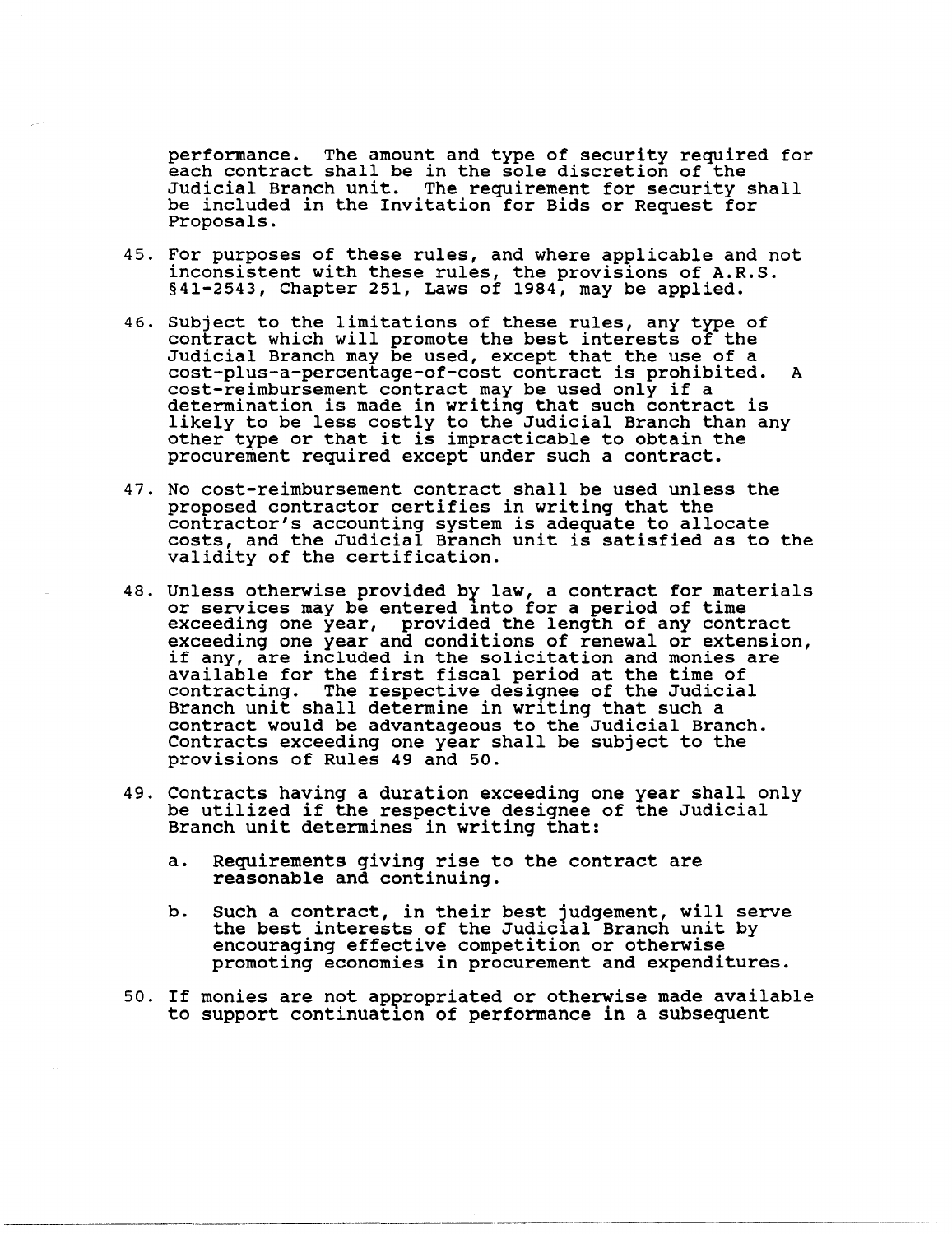performance. The amount and type of security required for each contract shall be in the sole discretion of the Judicial Branch unit. The requirement for security shall be included in the Invitation for Bids or Request for Proposals.

- 45. For purposes of these rules, and where applicable and not inconsistent with these rules, the provisions of A.R.S. §41-2543, Chapter 251, Laws of 1984, may be applied.
- 46. Subject to the limitations of these rules, any type of contract which will promote the best interests of the Judicial Branch may be used, except that the use of a cost-plus-a-percentage-of-cost contract is prohibited. A cost-reimbursement contract may be used only if a determination is made in writing that such contract is likely to be less costly to the Judicial Branch than any other type or that it is impracticable to obtain the procurement required except under such a contract.
- 47. No cost-reimbursement contract shall be used unless the proposed contractor certifies in writing that the contractor's accounting system is adequate to allocate costs, and the Judicial Branch unit is satisfied as to the validity of the certification.
- 48. Unless otherwise provided by law, a contract for materials or services may be entered lnto for a period of time exceeding one year, provided the length of any contract exceeding one year and conditions of renewal or extension, if any, are included in the solicitation and monies are available for the first fiscal period at the time of contracting. The respective desi9nee of the Judicial Branch unit shall determine in writing that such a contract would be advantageous to the Judicial Branch. Contracts exceeding one year shall be subject to the provisions of Rules 49 and 50.
- 49. Contracts having a duration exceeding one year shall only be utilized if the respective designee of the Judicial Branch unit determines in writing that:
	- a. Requirements giving rise to the contract are reasonable and continuing.
	- b. Such a contract, in their best judgement, will serve the best interests of the Judicial Branch unit by encouraging effective competition or otherwise promoting economies in procurement and expenditures.
- 50. If monies are not appropriated or otherwise made available to support continuation of performance in a subsequent

----\_.-\_.\_-\_.\_.\_.- -------.----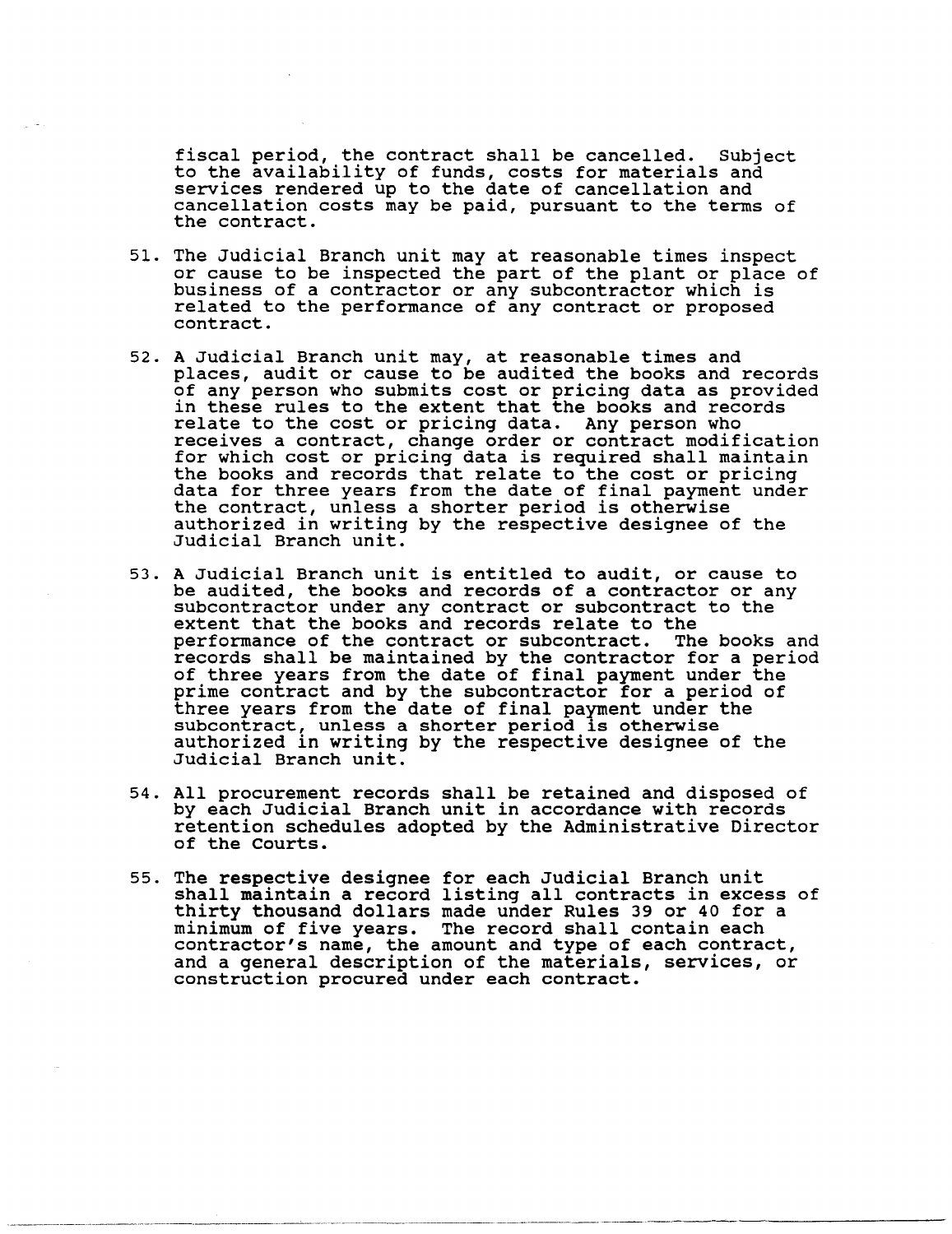fiscal period, the contract shall be cancelled. Subject to the availability of funds, costs for materials and services rendered up to the date of cancellation and cancellation costs may be paid, pursuant to the terms of the contract.

- 51. The Judicial Branch unit may at reasonable times inspect or cause to be inspected the part of the plant or place of business of a contractor or any subcontractor which is related to the performance of any contract or proposed contract.
- 52. A Judicial Branch unit may, at reasonable times and places, audit or cause to be audited the books and records of any person who submits cost or pricing data as provided in these rules to the extent that the books and records relate to the cost or pricing data. Any person who receives a contract, change order or contract modification for which cost or pricing data is required shall maintain the books and records that relate to the cost or pricing data for three years from the date of final payment under the contract, unless a shorter period is otherwise authorized in writing by the respective designee of the Judicial Branch unit.
- 53. A Judicial Branch unit is entitled to audit, or cause to be audited, the books and records of a contractor or any subcontractor under any contract or subcontract to the extent that the books and records relate to the performance of the contract or subcontract. The books and records shall be maintained by the contractor for a period of three years from the date of final payment under the prime contract and by the subcontractor for a period of three years from the date of final payment under the subcontract, unless a shorter period is otherwise authorized in writing by the respective designee of the Judicial Branch unit.
- 54. All procurement records shall be retained and disposed of by each Judicial Branch unit in accordance with records retention schedules adopted by the Administrative Director of the Courts.
- 55. The respective designee for each Judicial Branch unit shall maintain a record listing all contracts in excess of thirty thousand dollars made under Rules 39 or 40 for a minimum of five years. The record shall contain each minimum of five years. The record shaft contain each contract, and a general description of the materials, services, or construction procured under each contract.

------------------ -----------------